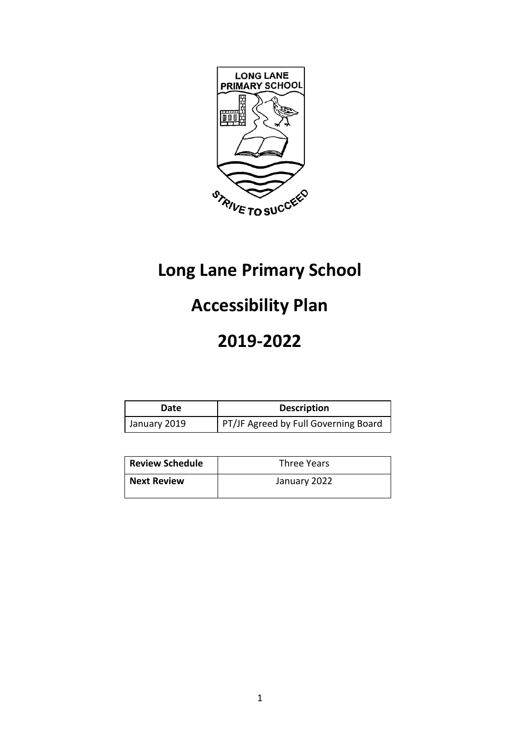

# **Long Lane Primary School**

# **Accessibility Plan**

# **2019-2022**

| Date         | <b>Description</b>                   |
|--------------|--------------------------------------|
| January 2019 | PT/JF Agreed by Full Governing Board |

| <b>Review Schedule</b> | Three Years  |  |  |
|------------------------|--------------|--|--|
| <b>Next Review</b>     | January 2022 |  |  |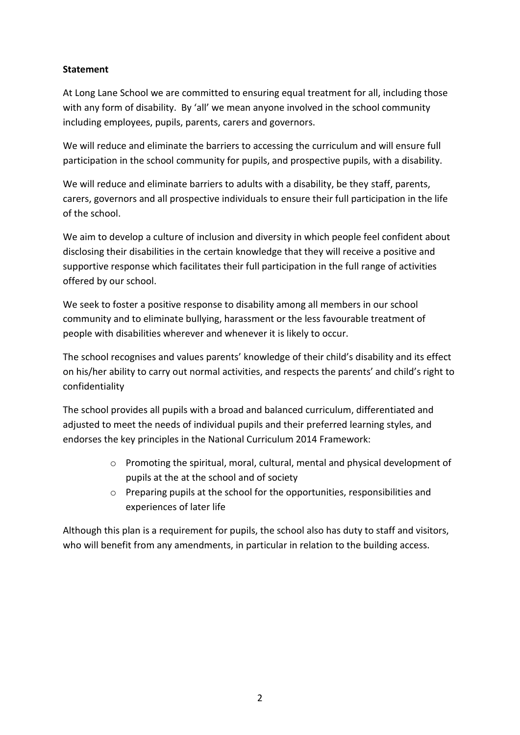#### **Statement**

At Long Lane School we are committed to ensuring equal treatment for all, including those with any form of disability. By 'all' we mean anyone involved in the school community including employees, pupils, parents, carers and governors.

We will reduce and eliminate the barriers to accessing the curriculum and will ensure full participation in the school community for pupils, and prospective pupils, with a disability.

We will reduce and eliminate barriers to adults with a disability, be they staff, parents, carers, governors and all prospective individuals to ensure their full participation in the life of the school.

We aim to develop a culture of inclusion and diversity in which people feel confident about disclosing their disabilities in the certain knowledge that they will receive a positive and supportive response which facilitates their full participation in the full range of activities offered by our school.

We seek to foster a positive response to disability among all members in our school community and to eliminate bullying, harassment or the less favourable treatment of people with disabilities wherever and whenever it is likely to occur.

The school recognises and values parents' knowledge of their child's disability and its effect on his/her ability to carry out normal activities, and respects the parents' and child's right to confidentiality

The school provides all pupils with a broad and balanced curriculum, differentiated and adjusted to meet the needs of individual pupils and their preferred learning styles, and endorses the key principles in the National Curriculum 2014 Framework:

- o Promoting the spiritual, moral, cultural, mental and physical development of pupils at the at the school and of society
- o Preparing pupils at the school for the opportunities, responsibilities and experiences of later life

Although this plan is a requirement for pupils, the school also has duty to staff and visitors, who will benefit from any amendments, in particular in relation to the building access.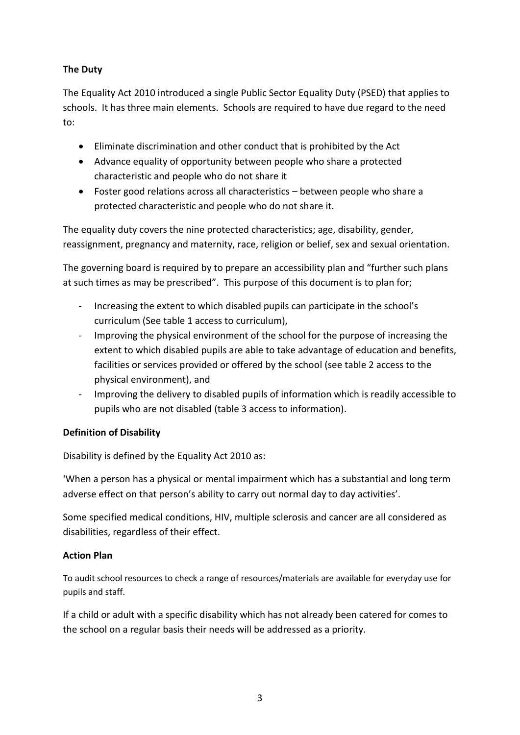### **The Duty**

The Equality Act 2010 introduced a single Public Sector Equality Duty (PSED) that applies to schools. It has three main elements. Schools are required to have due regard to the need to:

- Eliminate discrimination and other conduct that is prohibited by the Act
- Advance equality of opportunity between people who share a protected characteristic and people who do not share it
- Foster good relations across all characteristics between people who share a protected characteristic and people who do not share it.

The equality duty covers the nine protected characteristics; age, disability, gender, reassignment, pregnancy and maternity, race, religion or belief, sex and sexual orientation.

The governing board is required by to prepare an accessibility plan and "further such plans at such times as may be prescribed". This purpose of this document is to plan for;

- Increasing the extent to which disabled pupils can participate in the school's curriculum (See table 1 access to curriculum),
- Improving the physical environment of the school for the purpose of increasing the extent to which disabled pupils are able to take advantage of education and benefits, facilities or services provided or offered by the school (see table 2 access to the physical environment), and
- Improving the delivery to disabled pupils of information which is readily accessible to pupils who are not disabled (table 3 access to information).

## **Definition of Disability**

Disability is defined by the Equality Act 2010 as:

'When a person has a physical or mental impairment which has a substantial and long term adverse effect on that person's ability to carry out normal day to day activities'.

Some specified medical conditions, HIV, multiple sclerosis and cancer are all considered as disabilities, regardless of their effect.

#### **Action Plan**

To audit school resources to check a range of resources/materials are available for everyday use for pupils and staff.

If a child or adult with a specific disability which has not already been catered for comes to the school on a regular basis their needs will be addressed as a priority.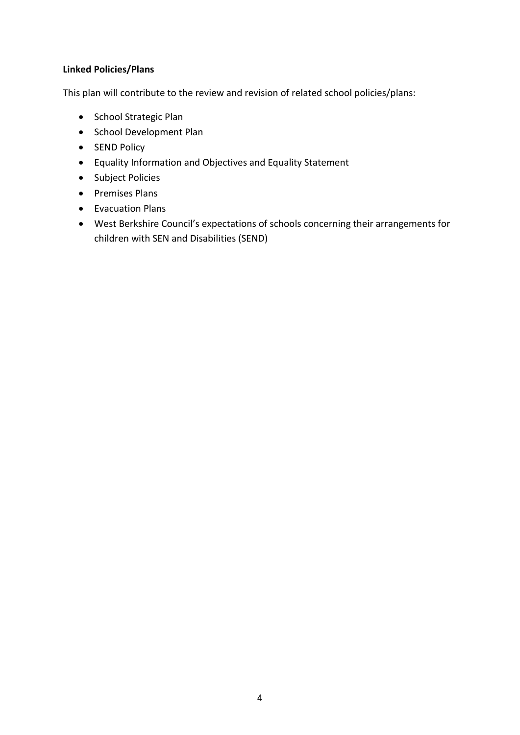#### **Linked Policies/Plans**

This plan will contribute to the review and revision of related school policies/plans:

- School Strategic Plan
- School Development Plan
- SEND Policy
- Equality Information and Objectives and Equality Statement
- Subject Policies
- Premises Plans
- Evacuation Plans
- West Berkshire Council's expectations of schools concerning their arrangements for children with SEN and Disabilities (SEND)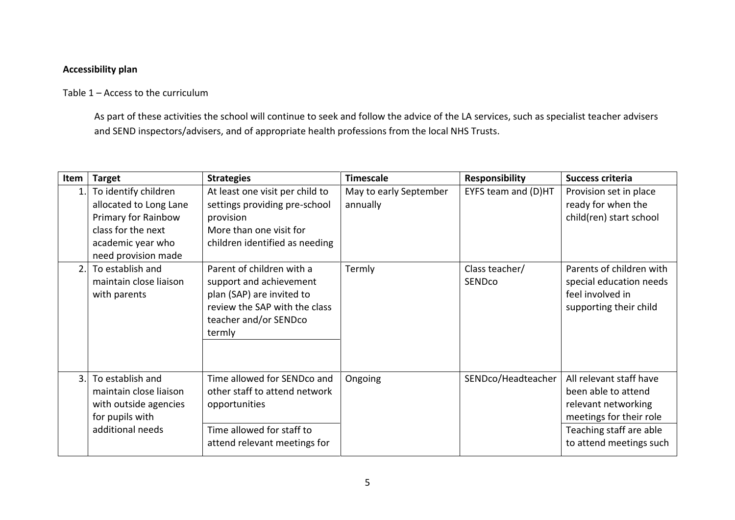#### **Accessibility plan**

### Table 1 – Access to the curriculum

As part of these activities the school will continue to seek and follow the advice of the LA services, such as specialist teacher advisers and SEND inspectors/advisers, and of appropriate health professions from the local NHS Trusts.

| Item | <b>Target</b>                                                                                                                           | <b>Strategies</b>                                                                                                                                     | <b>Timescale</b>                   | <b>Responsibility</b>    | Success criteria                                                                                                                                       |
|------|-----------------------------------------------------------------------------------------------------------------------------------------|-------------------------------------------------------------------------------------------------------------------------------------------------------|------------------------------------|--------------------------|--------------------------------------------------------------------------------------------------------------------------------------------------------|
| 1.   | To identify children<br>allocated to Long Lane<br>Primary for Rainbow<br>class for the next<br>academic year who<br>need provision made | At least one visit per child to<br>settings providing pre-school<br>provision<br>More than one visit for<br>children identified as needing            | May to early September<br>annually | EYFS team and (D)HT      | Provision set in place<br>ready for when the<br>child(ren) start school                                                                                |
| 2.   | To establish and<br>maintain close liaison<br>with parents                                                                              | Parent of children with a<br>support and achievement<br>plan (SAP) are invited to<br>review the SAP with the class<br>teacher and/or SENDco<br>termly | Termly                             | Class teacher/<br>SENDco | Parents of children with<br>special education needs<br>feel involved in<br>supporting their child                                                      |
| 3.   | To establish and<br>maintain close liaison<br>with outside agencies<br>for pupils with<br>additional needs                              | Time allowed for SENDco and<br>other staff to attend network<br>opportunities<br>Time allowed for staff to<br>attend relevant meetings for            | Ongoing                            | SENDco/Headteacher       | All relevant staff have<br>been able to attend<br>relevant networking<br>meetings for their role<br>Teaching staff are able<br>to attend meetings such |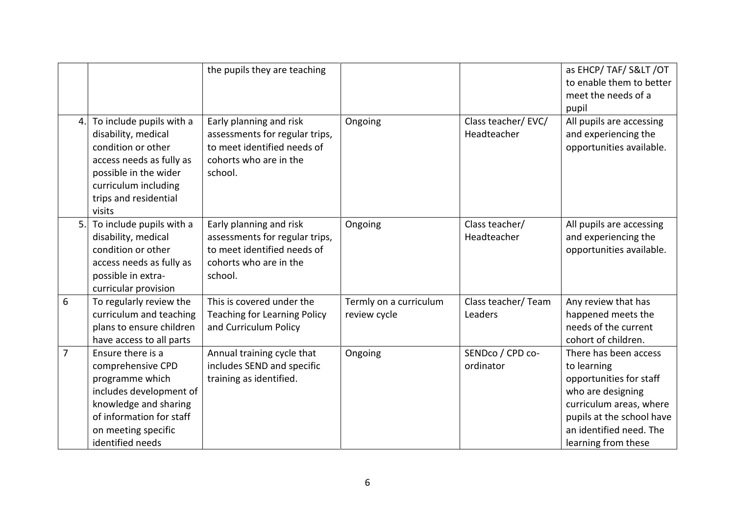|                |                                                                                                                                                                                       | the pupils they are teaching                                                                                                  |                                        |                                   | as EHCP/ TAF/ S< /OT<br>to enable them to better<br>meet the needs of a<br>pupil                                                                                                               |
|----------------|---------------------------------------------------------------------------------------------------------------------------------------------------------------------------------------|-------------------------------------------------------------------------------------------------------------------------------|----------------------------------------|-----------------------------------|------------------------------------------------------------------------------------------------------------------------------------------------------------------------------------------------|
| 4.             | To include pupils with a<br>disability, medical<br>condition or other<br>access needs as fully as<br>possible in the wider<br>curriculum including<br>trips and residential<br>visits | Early planning and risk<br>assessments for regular trips,<br>to meet identified needs of<br>cohorts who are in the<br>school. | Ongoing                                | Class teacher/EVC/<br>Headteacher | All pupils are accessing<br>and experiencing the<br>opportunities available.                                                                                                                   |
| 5.             | To include pupils with a<br>disability, medical<br>condition or other<br>access needs as fully as<br>possible in extra-<br>curricular provision                                       | Early planning and risk<br>assessments for regular trips,<br>to meet identified needs of<br>cohorts who are in the<br>school. | Ongoing                                | Class teacher/<br>Headteacher     | All pupils are accessing<br>and experiencing the<br>opportunities available.                                                                                                                   |
| 6              | To regularly review the<br>curriculum and teaching<br>plans to ensure children<br>have access to all parts                                                                            | This is covered under the<br><b>Teaching for Learning Policy</b><br>and Curriculum Policy                                     | Termly on a curriculum<br>review cycle | Class teacher/ Team<br>Leaders    | Any review that has<br>happened meets the<br>needs of the current<br>cohort of children.                                                                                                       |
| $\overline{7}$ | Ensure there is a<br>comprehensive CPD<br>programme which<br>includes development of<br>knowledge and sharing<br>of information for staff<br>on meeting specific<br>identified needs  | Annual training cycle that<br>includes SEND and specific<br>training as identified.                                           | Ongoing                                | SENDco / CPD co-<br>ordinator     | There has been access<br>to learning<br>opportunities for staff<br>who are designing<br>curriculum areas, where<br>pupils at the school have<br>an identified need. The<br>learning from these |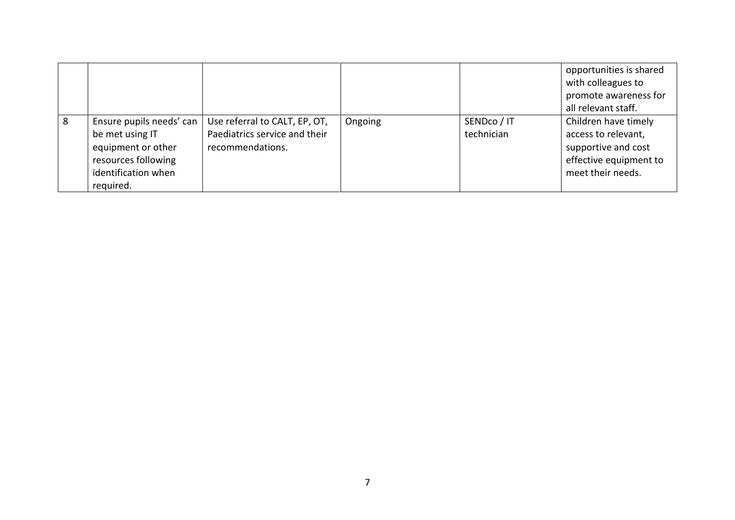|   |                                                                                                                              |                                                                                    |         |                           | opportunities is shared<br>with colleagues to<br>promote awareness for<br>all relevant staff.                     |
|---|------------------------------------------------------------------------------------------------------------------------------|------------------------------------------------------------------------------------|---------|---------------------------|-------------------------------------------------------------------------------------------------------------------|
| 8 | Ensure pupils needs' can<br>be met using IT<br>equipment or other<br>resources following<br>identification when<br>required. | Use referral to CALT, EP, OT,<br>Paediatrics service and their<br>recommendations. | Ongoing | SENDco / IT<br>technician | Children have timely<br>access to relevant,<br>supportive and cost<br>effective equipment to<br>meet their needs. |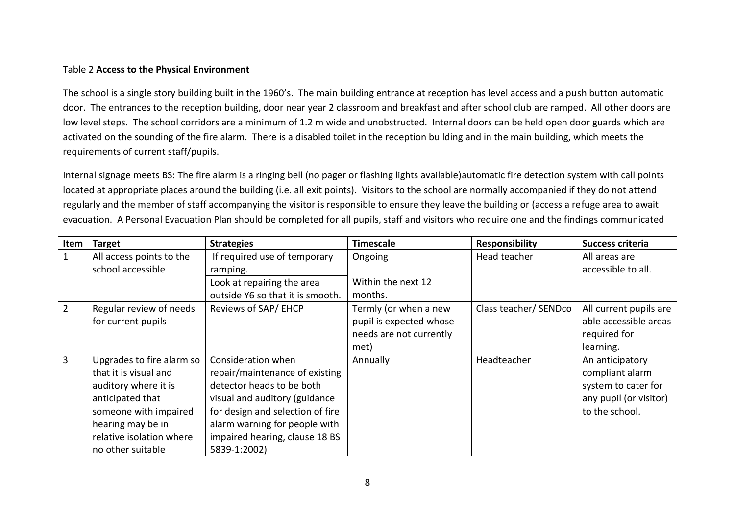#### Table 2 **Access to the Physical Environment**

The school is a single story building built in the 1960's. The main building entrance at reception has level access and a push button automatic door. The entrances to the reception building, door near year 2 classroom and breakfast and after school club are ramped. All other doors are low level steps. The school corridors are a minimum of 1.2 m wide and unobstructed. Internal doors can be held open door guards which are activated on the sounding of the fire alarm. There is a disabled toilet in the reception building and in the main building, which meets the requirements of current staff/pupils.

Internal signage meets BS: The fire alarm is a ringing bell (no pager or flashing lights available)automatic fire detection system with call points located at appropriate places around the building (i.e. all exit points). Visitors to the school are normally accompanied if they do not attend regularly and the member of staff accompanying the visitor is responsible to ensure they leave the building or (access a refuge area to await evacuation. A Personal Evacuation Plan should be completed for all pupils, staff and visitors who require one and the findings communicated

| Item           | <b>Target</b>             | <b>Strategies</b>                | <b>Timescale</b>        | <b>Responsibility</b> | Success criteria       |
|----------------|---------------------------|----------------------------------|-------------------------|-----------------------|------------------------|
|                | All access points to the  | If required use of temporary     | Ongoing                 | Head teacher          | All areas are          |
|                | school accessible         | ramping.                         |                         |                       | accessible to all.     |
|                |                           | Look at repairing the area       | Within the next 12      |                       |                        |
|                |                           | outside Y6 so that it is smooth. | months.                 |                       |                        |
| 2              | Regular review of needs   | Reviews of SAP/ EHCP             | Termly (or when a new   | Class teacher/ SENDco | All current pupils are |
|                | for current pupils        |                                  | pupil is expected whose |                       | able accessible areas  |
|                |                           |                                  | needs are not currently |                       | required for           |
|                |                           |                                  | met)                    |                       | learning.              |
| $\overline{3}$ | Upgrades to fire alarm so | Consideration when               | Annually                | Headteacher           | An anticipatory        |
|                | that it is visual and     | repair/maintenance of existing   |                         |                       | compliant alarm        |
|                | auditory where it is      | detector heads to be both        |                         |                       | system to cater for    |
|                | anticipated that          | visual and auditory (guidance    |                         |                       | any pupil (or visitor) |
|                | someone with impaired     | for design and selection of fire |                         |                       | to the school.         |
|                | hearing may be in         | alarm warning for people with    |                         |                       |                        |
|                | relative isolation where  | impaired hearing, clause 18 BS   |                         |                       |                        |
|                | no other suitable         | 5839-1:2002)                     |                         |                       |                        |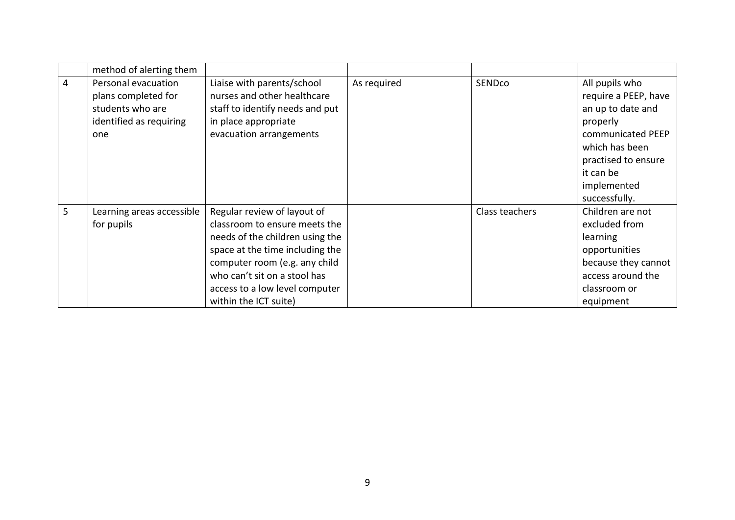|   | method of alerting them                                                                          |                                                                                                                                                                                                                                                                |             |                |                                                                                                                                                                                    |
|---|--------------------------------------------------------------------------------------------------|----------------------------------------------------------------------------------------------------------------------------------------------------------------------------------------------------------------------------------------------------------------|-------------|----------------|------------------------------------------------------------------------------------------------------------------------------------------------------------------------------------|
| 4 | Personal evacuation<br>plans completed for<br>students who are<br>identified as requiring<br>one | Liaise with parents/school<br>nurses and other healthcare<br>staff to identify needs and put<br>in place appropriate<br>evacuation arrangements                                                                                                                | As required | SENDco         | All pupils who<br>require a PEEP, have<br>an up to date and<br>properly<br>communicated PEEP<br>which has been<br>practised to ensure<br>it can be<br>implemented<br>successfully. |
| 5 | Learning areas accessible<br>for pupils                                                          | Regular review of layout of<br>classroom to ensure meets the<br>needs of the children using the<br>space at the time including the<br>computer room (e.g. any child<br>who can't sit on a stool has<br>access to a low level computer<br>within the ICT suite) |             | Class teachers | Children are not<br>excluded from<br>learning<br>opportunities<br>because they cannot<br>access around the<br>classroom or<br>equipment                                            |